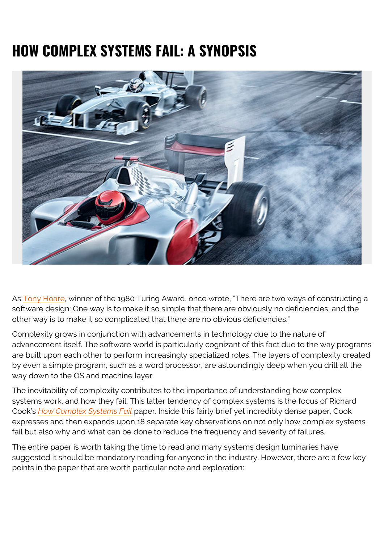# **HOW COMPLEX SYSTEMS FAIL: A SYNOPSIS**



As [Tony Hoare,](https://www.goodreads.com/author/quotes/266154.C_A_R_Hoare) winner of the 1980 Turing Award, once wrote, "There are two ways of constructing a software design: One way is to make it so simple that there are obviously no deficiencies, and the other way is to make it so complicated that there are no obvious deficiencies."

Complexity grows in conjunction with advancements in technology due to the nature of advancement itself. The software world is particularly cognizant of this fact due to the way programs are built upon each other to perform increasingly specialized roles. The layers of complexity created by even a simple program, such as a word processor, are astoundingly deep when you drill all the way down to the OS and machine layer.

The inevitability of complexity contributes to the importance of understanding how complex systems work, and how they fail. This latter tendency of complex systems is the focus of Richard Cook's *[How Complex Systems Fail](http://web.mit.edu/2.75/resources/random/How%20Complex%20Systems%20Fail.pdf)* paper. Inside this fairly brief yet incredibly dense paper, Cook expresses and then expands upon 18 separate key observations on not only how complex systems fail but also why and what can be done to reduce the frequency and severity of failures.

The entire paper is worth taking the time to read and many systems design luminaries have suggested it should be mandatory reading for anyone in the industry. However, there are a few key points in the paper that are worth particular note and exploration: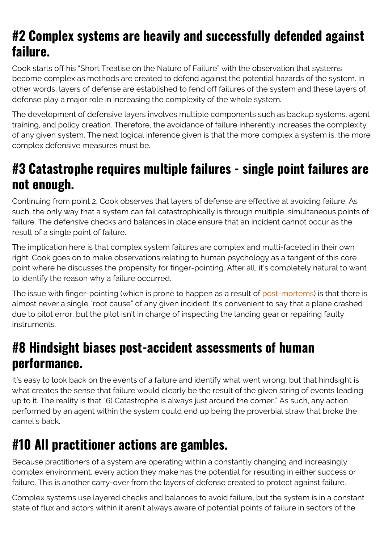## **#2 Complex systems are heavily and successfully defended against failure.**

Cook starts off his "Short Treatise on the Nature of Failure" with the observation that systems become complex as methods are created to defend against the potential hazards of the system. In other words, layers of defense are established to fend off failures of the system and these layers of defense play a major role in increasing the complexity of the whole system.

The development of defensive layers involves multiple components such as backup systems, agent training, and policy creation. Therefore, the avoidance of failure inherently increases the complexity of any given system. The next logical inference given is that the more complex a system is, the more complex defensive measures must be.

#### **#3 Catastrophe requires multiple failures - single point failures are not enough.**

Continuing from point 2, Cook observes that layers of defense are effective at avoiding failure. As such, the only way that a system can fail catastrophically is through multiple, simultaneous points of failure. The defensive checks and balances in place ensure that an incident cannot occur as the result of a single point of failure.

The implication here is that complex system failures are complex and multi-faceted in their own right. Cook goes on to make observations relating to human psychology as a tangent of this core point where he discusses the propensity for finger-pointing. After all, it's completely natural to want to identify the reason why a failure occurred.

The issue with finger-pointing (which is prone to happen as a result of [post-mortems\)](https://blogs.bmc.com/blogs/incident-postmortem-template/) is that there is almost never a single "root cause" of any given incident. It's convenient to say that a plane crashed due to pilot error, but the pilot isn't in charge of inspecting the landing gear or repairing faulty instruments.

## **#8 Hindsight biases post-accident assessments of human performance.**

It's easy to look back on the events of a failure and identify what went wrong, but that hindsight is what creates the sense that failure would clearly be the result of the given string of events leading up to it. The reality is that "6) Catastrophe is always just around the corner." As such, any action performed by an agent within the system could end up being the proverbial straw that broke the camel's back.

# **#10 All practitioner actions are gambles.**

Because practitioners of a system are operating within a constantly changing and increasingly complex environment, every action they make has the potential for resulting in either success or failure. This is another carry-over from the layers of defense created to protect against failure.

Complex systems use layered checks and balances to avoid failure, but the system is in a constant state of flux and actors within it aren't always aware of potential points of failure in sectors of the